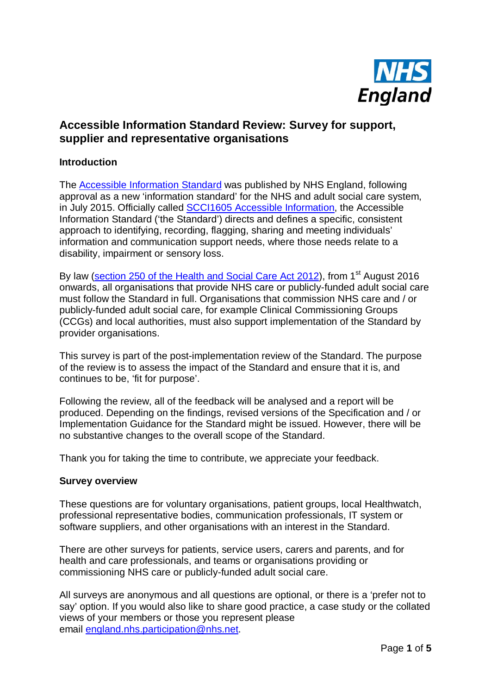

## **Accessible Information Standard Review: Survey for support, supplier and representative organisations**

## **Introduction**

The [Accessible Information Standard](https://www.england.nhs.uk/ourwork/patients/accessibleinfo/) was published by NHS England, following approval as a new 'information standard' for the NHS and adult social care system, in July 2015. Officially called [SCCI1605 Accessible Information,](http://www.hscic.gov.uk/isce/publication/scci1605) the Accessible Information Standard ('the Standard') directs and defines a specific, consistent approach to identifying, recording, flagging, sharing and meeting individuals' information and communication support needs, where those needs relate to a disability, impairment or sensory loss.

By law [\(section 250 of the Health and](http://www.legislation.gov.uk/ukpga/2012/7/section/250/enacted) Social Care Act 2012), from 1<sup>st</sup> August 2016 onwards, all organisations that provide NHS care or publicly-funded adult social care must follow the Standard in full. Organisations that commission NHS care and / or publicly-funded adult social care, for example Clinical Commissioning Groups (CCGs) and local authorities, must also support implementation of the Standard by provider organisations.

This survey is part of the post-implementation review of the Standard. The purpose of the review is to assess the impact of the Standard and ensure that it is, and continues to be, 'fit for purpose'.

Following the review, all of the feedback will be analysed and a report will be produced. Depending on the findings, revised versions of the Specification and / or Implementation Guidance for the Standard might be issued. However, there will be no substantive changes to the overall scope of the Standard.

Thank you for taking the time to contribute, we appreciate your feedback.

## **Survey overview**

These questions are for voluntary organisations, patient groups, local Healthwatch, professional representative bodies, communication professionals, IT system or software suppliers, and other organisations with an interest in the Standard.

There are other surveys for patients, service users, carers and parents, and for health and care professionals, and teams or organisations providing or commissioning NHS care or publicly-funded adult social care.

All surveys are anonymous and all questions are optional, or there is a 'prefer not to say' option. If you would also like to share good practice, a case study or the collated views of your members or those you represent please email [england.nhs.participation@nhs.net.](mailto:england.nhs.participation@nhs.net)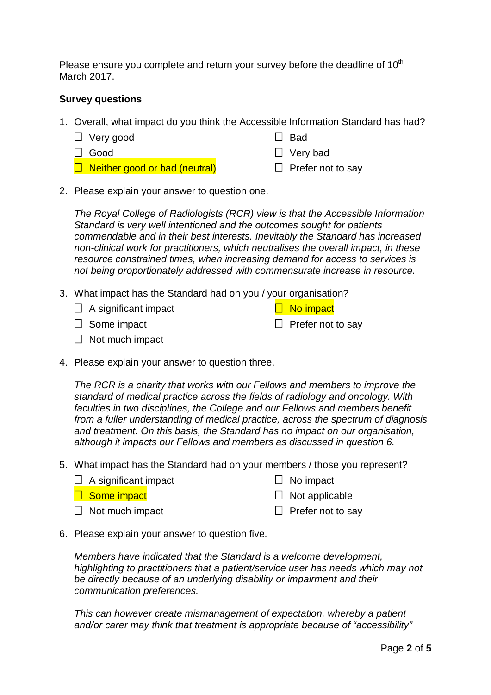Please ensure you complete and return your survey before the deadline of  $10<sup>th</sup>$ March 2017.

## **Survey questions**

- 1. Overall, what impact do you think the Accessible Information Standard has had?
	- □ Very good
	- Good
- $\Box$  Bad
- 
- □ Very bad

 $\Box$  No impact

 $\Box$  Prefer not to say

- $\Box$  Neither good or bad (neutral)
- $\Box$  Prefer not to say
- 2. Please explain your answer to question one.

*The Royal College of Radiologists (RCR) view is that the Accessible Information Standard is very well intentioned and the outcomes sought for patients commendable and in their best interests. Inevitably the Standard has increased non-clinical work for practitioners, which neutralises the overall impact, in these resource constrained times, when increasing demand for access to services is not being proportionately addressed with commensurate increase in resource.*

- 3. What impact has the Standard had on you / your organisation?
	- $\Box$  A significant impact
	- $\Box$  Some impact
	- $\Box$  Not much impact
- 4. Please explain your answer to question three.

*The RCR is a charity that works with our Fellows and members to improve the standard of medical practice across the fields of radiology and oncology. With faculties in two disciplines, the College and our Fellows and members benefit from a fuller understanding of medical practice, across the spectrum of diagnosis and treatment. On this basis, the Standard has no impact on our organisation, although it impacts our Fellows and members as discussed in question 6.*

- 5. What impact has the Standard had on your members / those you represent?
	- $\Box$  A significant impact

 $\Box$  No impact

 $\Box$  Some impact

 $\Box$  Not applicable

 $\Box$  Not much impact

- $\Box$  Prefer not to sav
- 6. Please explain your answer to question five.

*Members have indicated that the Standard is a welcome development, highlighting to practitioners that a patient/service user has needs which may not be directly because of an underlying disability or impairment and their communication preferences.*

*This can however create mismanagement of expectation, whereby a patient and/or carer may think that treatment is appropriate because of "accessibility"*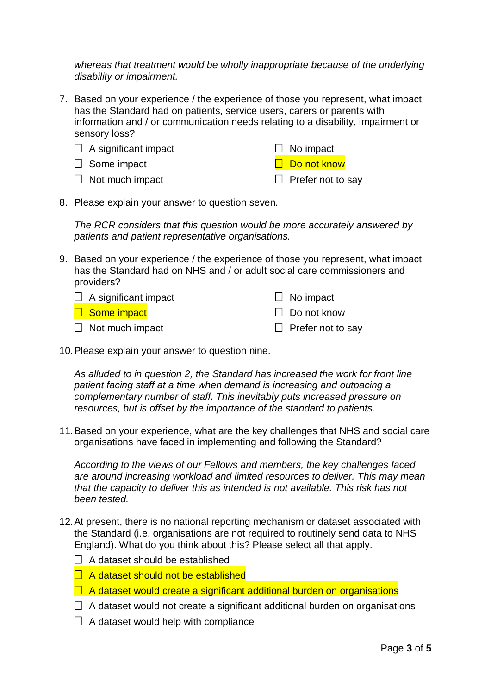*whereas that treatment would be wholly inappropriate because of the underlying disability or impairment.* 

7. Based on your experience / the experience of those you represent, what impact has the Standard had on patients, service users, carers or parents with information and / or communication needs relating to a disability, impairment or sensory loss?

| $\Box$ A significant impact | $\Box$ No impact         |
|-----------------------------|--------------------------|
| $\Box$ Some impact          | □ Do not know            |
| $\Box$ Not much impact      | $\Box$ Prefer not to say |

8. Please explain your answer to question seven.

*The RCR considers that this question would be more accurately answered by patients and patient representative organisations.*

9. Based on your experience / the experience of those you represent, what impact has the Standard had on NHS and / or adult social care commissioners and providers?

| $\Box$ A significant impact | $\Box$ No impact         |
|-----------------------------|--------------------------|
| □ Some impact               | $\Box$ Do not know       |
| $\Box$ Not much impact      | $\Box$ Prefer not to say |

10.Please explain your answer to question nine.

*As alluded to in question 2, the Standard has increased the work for front line patient facing staff at a time when demand is increasing and outpacing a complementary number of staff. This inevitably puts increased pressure on resources, but is offset by the importance of the standard to patients.*

11.Based on your experience, what are the key challenges that NHS and social care organisations have faced in implementing and following the Standard?

*According to the views of our Fellows and members, the key challenges faced are around increasing workload and limited resources to deliver. This may mean that the capacity to deliver this as intended is not available. This risk has not been tested.*

- 12.At present, there is no national reporting mechanism or dataset associated with the Standard (i.e. organisations are not required to routinely send data to NHS England). What do you think about this? Please select all that apply.
	- $\Box$  A dataset should be established
	- $\Box$  A dataset should not be established
	- $\Box$  A dataset would create a significant additional burden on organisations
	- $\Box$  A dataset would not create a significant additional burden on organisations
	- $\Box$  A dataset would help with compliance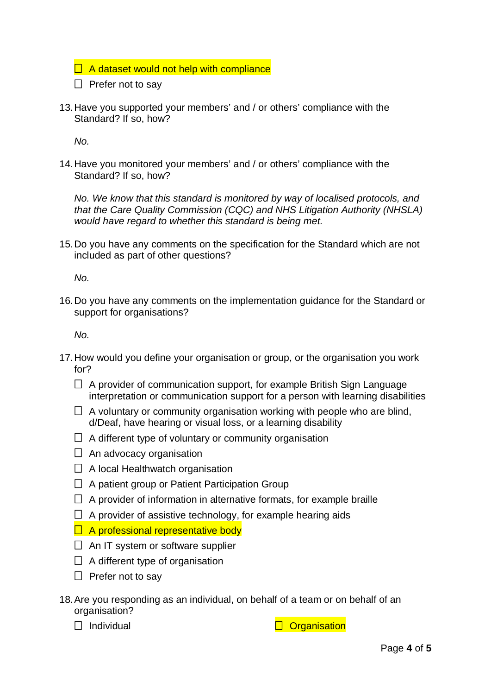$\Box$  A dataset would not help with compliance

- $\Box$  Prefer not to say
- 13.Have you supported your members' and / or others' compliance with the Standard? If so, how?

*No.*

14.Have you monitored your members' and / or others' compliance with the Standard? If so, how?

*No. We know that this standard is monitored by way of localised protocols, and that the Care Quality Commission (CQC) and NHS Litigation Authority (NHSLA) would have regard to whether this standard is being met.*

15.Do you have any comments on the specification for the Standard which are not included as part of other questions?

*No.* 

16.Do you have any comments on the implementation guidance for the Standard or support for organisations?

*No.*

- 17.How would you define your organisation or group, or the organisation you work for?
	- $\Box$  A provider of communication support, for example British Sign Language interpretation or communication support for a person with learning disabilities
	- $\Box$  A voluntary or community organisation working with people who are blind, d/Deaf, have hearing or visual loss, or a learning disability
	- $\Box$  A different type of voluntary or community organisation
	- $\Box$  An advocacy organisation
	- $\Box$  A local Healthwatch organisation
	- $\Box$  A patient group or Patient Participation Group
	- $\Box$  A provider of information in alternative formats, for example braille
	- $\Box$  A provider of assistive technology, for example hearing aids
	- $\Box$  A professional representative body
	- $\Box$  An IT system or software supplier
	- $\Box$  A different type of organisation
	- $\Box$  Prefer not to say
- 18.Are you responding as an individual, on behalf of a team or on behalf of an organisation?
	-

 $\Box$  Individual  $\Box$  Organisation